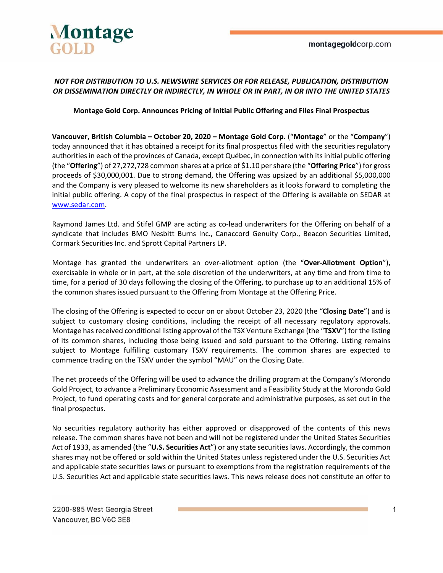

### *NOT FOR DISTRIBUTION TO U.S. NEWSWIRE SERVICES OR FOR RELEASE, PUBLICATION, DISTRIBUTION OR DISSEMINATION DIRECTLY OR INDIRECTLY, IN WHOLE OR IN PART, IN OR INTO THE UNITED STATES*

### **Montage Gold Corp. Announces Pricing of Initial Public Offering and Files Final Prospectus**

**Vancouver, British Columbia – October 20, 2020 – Montage Gold Corp.** ("**Montage**" or the "**Company**") today announced that it has obtained a receipt for its final prospectus filed with the securities regulatory authorities in each of the provinces of Canada, except Québec, in connection with its initial public offering (the "**Offering**") of 27,272,728 common shares at a price of \$1.10 per share (the "**Offering Price**") for gross proceeds of \$30,000,001. Due to strong demand, the Offering was upsized by an additional \$5,000,000 and the Company is very pleased to welcome its new shareholders as it looks forward to completing the initial public offering. A copy of the final prospectus in respect of the Offering is available on SEDAR at www.sedar.com.

Raymond James Ltd. and Stifel GMP are acting as co-lead underwriters for the Offering on behalf of a syndicate that includes BMO Nesbitt Burns Inc., Canaccord Genuity Corp., Beacon Securities Limited, Cormark Securities Inc. and Sprott Capital Partners LP.

Montage has granted the underwriters an over-allotment option (the "Over-Allotment Option"), exercisable in whole or in part, at the sole discretion of the underwriters, at any time and from time to time, for a period of 30 days following the closing of the Offering, to purchase up to an additional 15% of the common shares issued pursuant to the Offering from Montage at the Offering Price.

The closing of the Offering is expected to occur on or about October 23, 2020 (the "**Closing Date**") and is subject to customary closing conditions, including the receipt of all necessary regulatory approvals. Montage has received conditional listing approval of the TSX Venture Exchange (the "**TSXV**") for the listing of its common shares, including those being issued and sold pursuant to the Offering. Listing remains subject to Montage fulfilling customary TSXV requirements. The common shares are expected to commence trading on the TSXV under the symbol "MAU" on the Closing Date.

The net proceeds of the Offering will be used to advance the drilling program at the Company's Morondo Gold Project, to advance a Preliminary Economic Assessment and a Feasibility Study at the Morondo Gold Project, to fund operating costs and for general corporate and administrative purposes, as set out in the final prospectus.

No securities regulatory authority has either approved or disapproved of the contents of this news release. The common shares have not been and will not be registered under the United States Securities Act of 1933, as amended (the "**U.S. Securities Act**") or any state securities laws. Accordingly, the common shares may not be offered or sold within the United States unless registered under the U.S. Securities Act and applicable state securities laws or pursuant to exemptions from the registration requirements of the U.S. Securities Act and applicable state securities laws. This news release does not constitute an offer to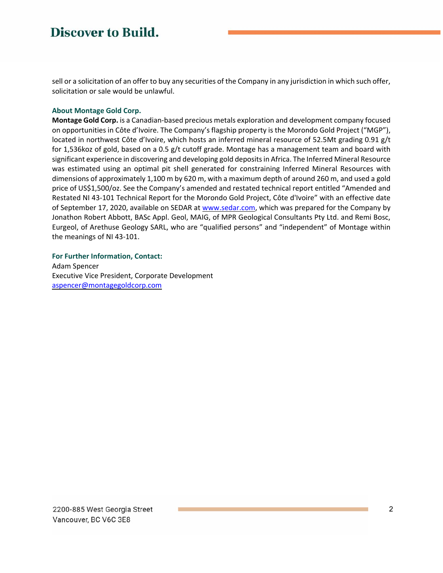# **Discover to Build.**

sell or a solicitation of an offer to buy any securities of the Company in any jurisdiction in which such offer, solicitation or sale would be unlawful.

#### **About Montage Gold Corp.**

**Montage Gold Corp.** is a Canadian‐based precious metals exploration and development company focused on opportunities in Côte d'Ivoire. The Company's flagship property is the Morondo Gold Project ("MGP"), located in northwest Côte d'Ivoire, which hosts an inferred mineral resource of 52.5Mt grading 0.91 g/t for 1,536koz of gold, based on a 0.5 g/t cutoff grade. Montage has a management team and board with significant experience in discovering and developing gold deposits in Africa. The Inferred Mineral Resource was estimated using an optimal pit shell generated for constraining Inferred Mineral Resources with dimensions of approximately 1,100 m by 620 m, with a maximum depth of around 260 m, and used a gold price of US\$1,500/oz. See the Company's amended and restated technical report entitled "Amended and Restated NI 43‐101 Technical Report for the Morondo Gold Project, Côte d'Ivoire" with an effective date of September 17, 2020, available on SEDAR at www.sedar.com, which was prepared for the Company by Jonathon Robert Abbott, BASc Appl. Geol, MAIG, of MPR Geological Consultants Pty Ltd. and Remi Bosc, Eurgeol, of Arethuse Geology SARL, who are "qualified persons" and "independent" of Montage within the meanings of NI 43‐101.

#### **For Further Information, Contact:**

Adam Spencer Executive Vice President, Corporate Development aspencer@montagegoldcorp.com